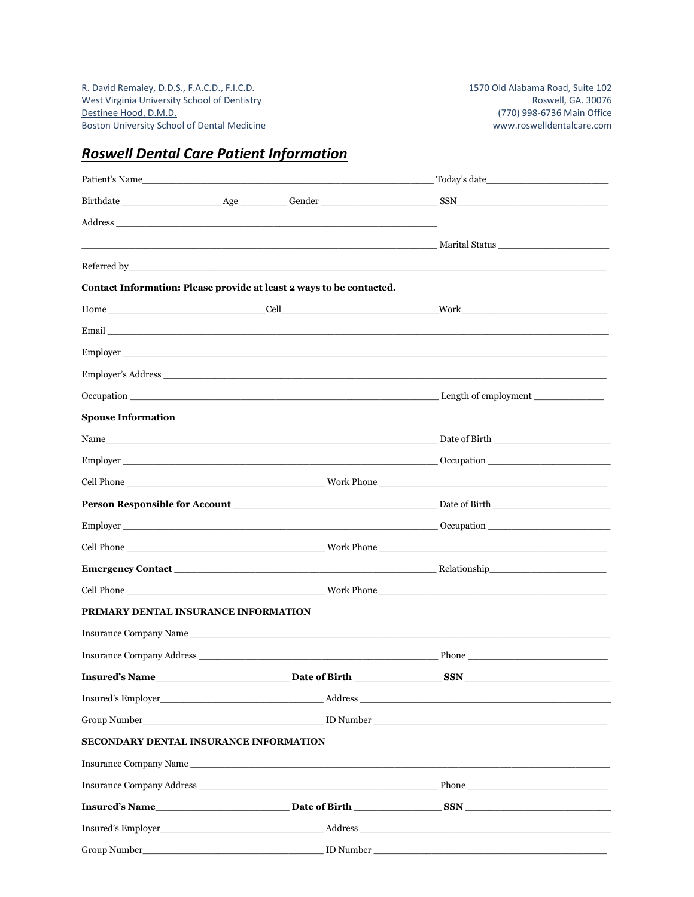R. David Remaley, D.D.S., F.A.C.D., F.I.C.D.<br>West Virginia University School of Dentistry 1570 Old Alabama Road, Suite 102 West Virginia University School of Dentistry<br>Destinee Hood, D.M.D. Boston University School of Dental Medicine

# *Roswell Dental Care Patient Information*

|                                        |                                                                                                                                                                                                                                | Patient's Name Today's date Today's date                                                                                                                                                                                            |
|----------------------------------------|--------------------------------------------------------------------------------------------------------------------------------------------------------------------------------------------------------------------------------|-------------------------------------------------------------------------------------------------------------------------------------------------------------------------------------------------------------------------------------|
|                                        |                                                                                                                                                                                                                                |                                                                                                                                                                                                                                     |
|                                        |                                                                                                                                                                                                                                |                                                                                                                                                                                                                                     |
|                                        |                                                                                                                                                                                                                                |                                                                                                                                                                                                                                     |
|                                        | Referred by the contract of the contract of the contract of the contract of the contract of the contract of the contract of the contract of the contract of the contract of the contract of the contract of the contract of th |                                                                                                                                                                                                                                     |
|                                        | Contact Information: Please provide at least 2 ways to be contacted.                                                                                                                                                           |                                                                                                                                                                                                                                     |
|                                        |                                                                                                                                                                                                                                |                                                                                                                                                                                                                                     |
|                                        |                                                                                                                                                                                                                                | Email <u>and</u> the contract of the contract of the contract of the contract of the contract of the contract of the contract of the contract of the contract of the contract of the contract of the contract of the contract of th |
|                                        |                                                                                                                                                                                                                                | Employer                                                                                                                                                                                                                            |
|                                        |                                                                                                                                                                                                                                | Employer's Address                                                                                                                                                                                                                  |
|                                        |                                                                                                                                                                                                                                |                                                                                                                                                                                                                                     |
| <b>Spouse Information</b>              |                                                                                                                                                                                                                                |                                                                                                                                                                                                                                     |
|                                        |                                                                                                                                                                                                                                |                                                                                                                                                                                                                                     |
|                                        |                                                                                                                                                                                                                                |                                                                                                                                                                                                                                     |
|                                        |                                                                                                                                                                                                                                |                                                                                                                                                                                                                                     |
|                                        |                                                                                                                                                                                                                                |                                                                                                                                                                                                                                     |
|                                        |                                                                                                                                                                                                                                |                                                                                                                                                                                                                                     |
|                                        |                                                                                                                                                                                                                                |                                                                                                                                                                                                                                     |
|                                        |                                                                                                                                                                                                                                |                                                                                                                                                                                                                                     |
|                                        |                                                                                                                                                                                                                                |                                                                                                                                                                                                                                     |
| PRIMARY DENTAL INSURANCE INFORMATION   |                                                                                                                                                                                                                                |                                                                                                                                                                                                                                     |
|                                        |                                                                                                                                                                                                                                |                                                                                                                                                                                                                                     |
|                                        |                                                                                                                                                                                                                                |                                                                                                                                                                                                                                     |
|                                        |                                                                                                                                                                                                                                | $\_$ SSN $\_$                                                                                                                                                                                                                       |
|                                        |                                                                                                                                                                                                                                |                                                                                                                                                                                                                                     |
|                                        |                                                                                                                                                                                                                                |                                                                                                                                                                                                                                     |
| SECONDARY DENTAL INSURANCE INFORMATION |                                                                                                                                                                                                                                |                                                                                                                                                                                                                                     |
|                                        |                                                                                                                                                                                                                                |                                                                                                                                                                                                                                     |
|                                        |                                                                                                                                                                                                                                | Insurance Company Address Phone Phone Phone Phone Phone Phone Phone Phone Phone Phone Phone Phone Phone Phone Phone Phone Phone Phone Phone Phone Phone Phone Phone Phone Phone Phone Phone Phone Phone Phone Phone Phone Phon      |
|                                        |                                                                                                                                                                                                                                | Insured's Name <b>Example 2</b> Date of Birth <b>Example 2</b> Date of Birth <b>Example 2</b> SSN                                                                                                                                   |
|                                        |                                                                                                                                                                                                                                |                                                                                                                                                                                                                                     |
|                                        |                                                                                                                                                                                                                                |                                                                                                                                                                                                                                     |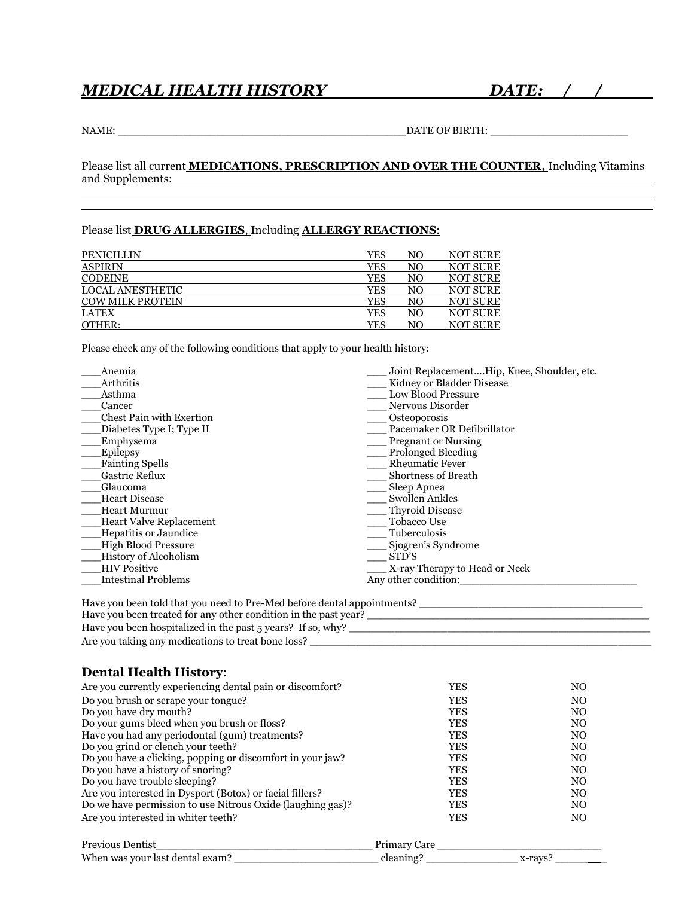### *MEDICAL HEALTH HISTORY DATE: / /*

l

NAME: \_\_\_\_\_\_\_\_\_\_\_\_\_\_\_\_\_\_\_\_\_\_\_\_\_\_\_\_\_\_\_\_\_\_\_\_\_\_\_\_\_\_\_\_DATE OF BIRTH: \_\_\_\_\_\_\_\_\_\_\_\_\_\_\_\_\_\_\_\_\_

Please list all current **MEDICATIONS, PRESCRIPTION AND OVER THE COUNTER,** Including Vitamins and Supplements: 1999 and Supplements: l

#### Please list **DRUG ALLERGIES**, Including **ALLERGY REACTIONS**:

| <b>PENICILLIN</b>       | YES | NO | <b>NOT SURE</b> |
|-------------------------|-----|----|-----------------|
| <b>ASPIRIN</b>          | YES | NO | <b>NOT SURE</b> |
| <b>CODEINE</b>          | YES | NO | <b>NOT SURE</b> |
| LOCAL ANESTHETIC        | YES | NO | <b>NOT SURE</b> |
| <b>COW MILK PROTEIN</b> | YES | NO | <b>NOT SURE</b> |
| <b>LATEX</b>            | YES | NO | <b>NOT SURE</b> |
| OTHER:                  | YES | NΟ | NOT SURE        |

Please check any of the following conditions that apply to your health history:

| Anemia                          | Joint ReplacementHip, Knee, Shoulder, etc. |
|---------------------------------|--------------------------------------------|
| Arthritis                       | Kidney or Bladder Disease                  |
| Asthma                          | <b>Low Blood Pressure</b>                  |
| Cancer                          | Nervous Disorder                           |
| <b>Chest Pain with Exertion</b> | Osteoporosis                               |
| Diabetes Type I; Type II        | Pacemaker OR Defibrillator                 |
| Emphysema                       | <b>Pregnant or Nursing</b>                 |
| Epilepsy                        | Prolonged Bleeding                         |
| <b>Fainting Spells</b>          | <b>Rheumatic Fever</b>                     |
| <b>Gastric Reflux</b>           | <b>Shortness of Breath</b>                 |
| Glaucoma                        | Sleep Apnea                                |
| <b>Heart Disease</b>            | <b>Swollen Ankles</b>                      |
| <b>Heart Murmur</b>             | Thyroid Disease                            |
| Heart Valve Replacement         | Tobacco Use                                |
| Hepatitis or Jaundice           | Tuberculosis                               |
| <b>High Blood Pressure</b>      | Sjogren's Syndrome                         |
| <b>History of Alcoholism</b>    | STD'S                                      |
| <b>HIV Positive</b>             | X-ray Therapy to Head or Neck              |
| <b>Intestinal Problems</b>      | Any other condition:                       |
|                                 |                                            |

| Have you been told that you need to Pre-Med before dental appointments? |
|-------------------------------------------------------------------------|
| Have you been treated for any other condition in the past year?         |
| Have you been hospitalized in the past 5 years? If so, why?             |
| Are you taking any medications to treat bone loss?                      |

### **Dental Health History**:

| Are you currently experiencing dental pain or discomfort?  | YES        | N <sub>O</sub> |
|------------------------------------------------------------|------------|----------------|
| Do you brush or scrape your tongue?                        | <b>YES</b> | N <sub>O</sub> |
| Do you have dry mouth?                                     | <b>YES</b> | N <sub>O</sub> |
| Do your gums bleed when you brush or floss?                | <b>YES</b> | N <sub>O</sub> |
| Have you had any periodontal (gum) treatments?             | <b>YES</b> | N <sub>O</sub> |
| Do you grind or clench your teeth?                         | <b>YES</b> | N <sub>O</sub> |
| Do you have a clicking, popping or discomfort in your jaw? | <b>YES</b> | N <sub>O</sub> |
| Do you have a history of snoring?                          | <b>YES</b> | N <sub>O</sub> |
| Do you have trouble sleeping?                              | <b>YES</b> | N <sub>O</sub> |
| Are you interested in Dysport (Botox) or facial fillers?   | <b>YES</b> | N <sub>O</sub> |
| Do we have permission to use Nitrous Oxide (laughing gas)? | <b>YES</b> | N <sub>O</sub> |
| Are you interested in whiter teeth?                        | <b>YES</b> | N <sub>O</sub> |

| <b>Previous Dentist</b>         | Primary Care |        |
|---------------------------------|--------------|--------|
| When was your last dental exam? | cleaning"    | x-ravs |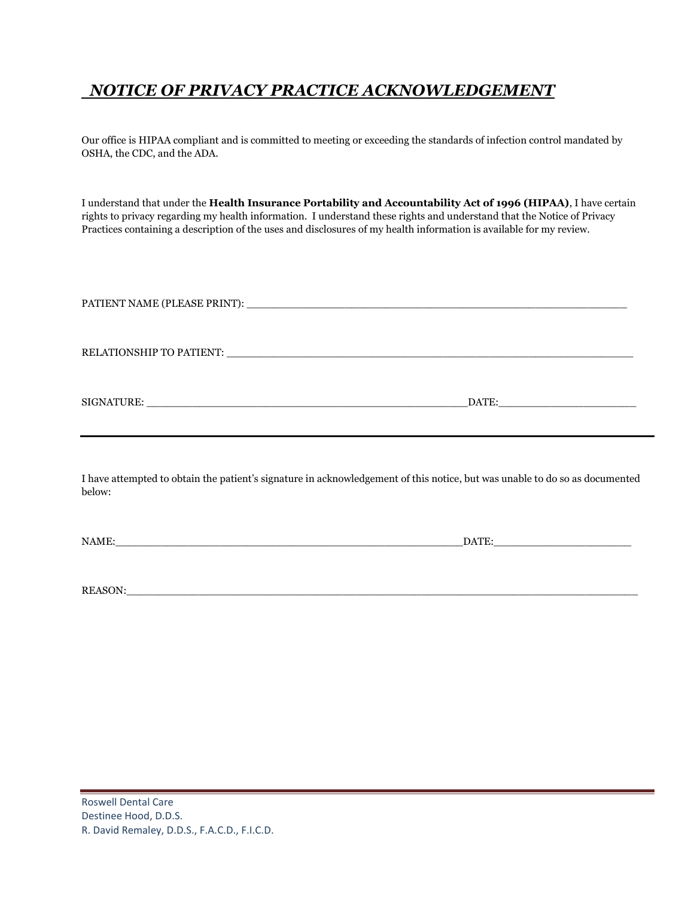# *NOTICE OF PRIVACY PRACTICE ACKNOWLEDGEMENT*

Our office is HIPAA compliant and is committed to meeting or exceeding the standards of infection control mandated by OSHA, the CDC, and the ADA.

I understand that under the **Health Insurance Portability and Accountability Act of 1996 (HIPAA)**, I have certain rights to privacy regarding my health information. I understand these rights and understand that the Notice of Privacy Practices containing a description of the uses and disclosures of my health information is available for my review.

|         | <u> 1990 - Jan Sarajan, martxa martxa a shekara 1990 - Anna a shekara 1991 - Anna a shekara 1991 - Anna a shekara</u>       |
|---------|-----------------------------------------------------------------------------------------------------------------------------|
| below:  | I have attempted to obtain the patient's signature in acknowledgement of this notice, but was unable to do so as documented |
|         | $\overline{\text{DATE}}$ :                                                                                                  |
| REASON: |                                                                                                                             |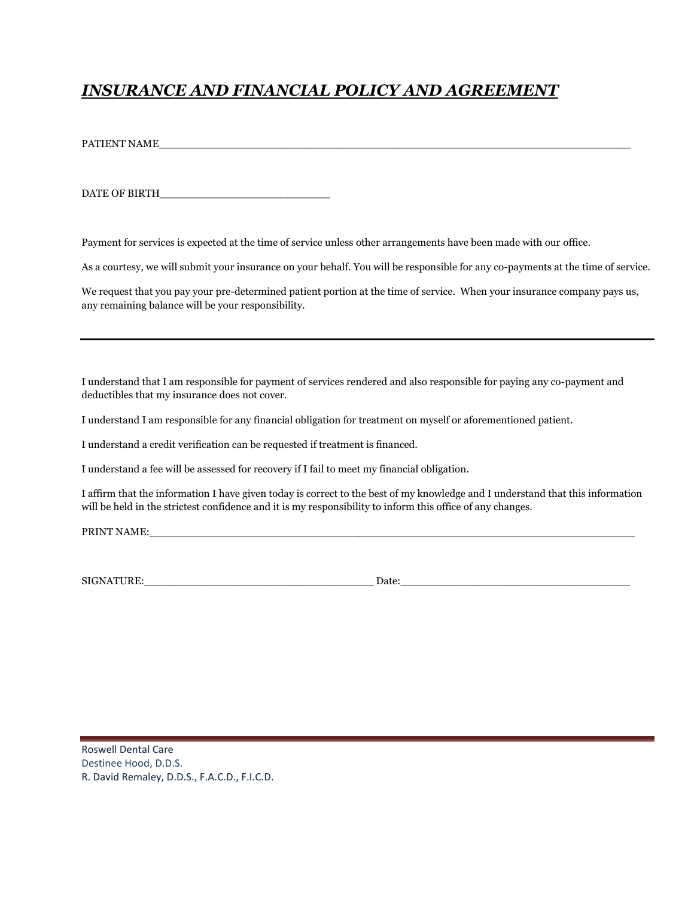# *INSURANCE AND FINANCIAL POLICY AND AGREEMENT*

PATIENT NAME

DATE OF BIRTH\_\_\_\_\_\_\_\_\_\_\_\_\_\_\_\_\_\_\_\_\_\_\_\_\_\_

Payment for services is expected at the time of service unless other arrangements have been made with our office.

As a courtesy, we will submit your insurance on your behalf. You will be responsible for any co-payments at the time of service.

We request that you pay your pre-determined patient portion at the time of service. When your insurance company pays us, any remaining balance will be your responsibility.

I understand that I am responsible for payment of services rendered and also responsible for paying any co-payment and deductibles that my insurance does not cover.

I understand I am responsible for any financial obligation for treatment on myself or aforementioned patient.

I understand a credit verification can be requested if treatment is financed.

I understand a fee will be assessed for recovery if I fail to meet my financial obligation.

I affirm that the information I have given today is correct to the best of my knowledge and I understand that this information will be held in the strictest confidence and it is my responsibility to inform this office of any changes.

PRINT NAME:

SIGNATURE:\_\_\_\_\_\_\_\_\_\_\_\_\_\_\_\_\_\_\_\_\_\_\_\_\_\_\_\_\_\_\_\_\_\_\_ Date:\_\_\_\_\_\_\_\_\_\_\_\_\_\_\_\_\_\_\_\_\_\_\_\_\_\_\_\_\_\_\_\_\_\_\_

Roswell Dental Care Destinee Hood, D.D.S. R. David Remaley, D.D.S., F.A.C.D., F.I.C.D.